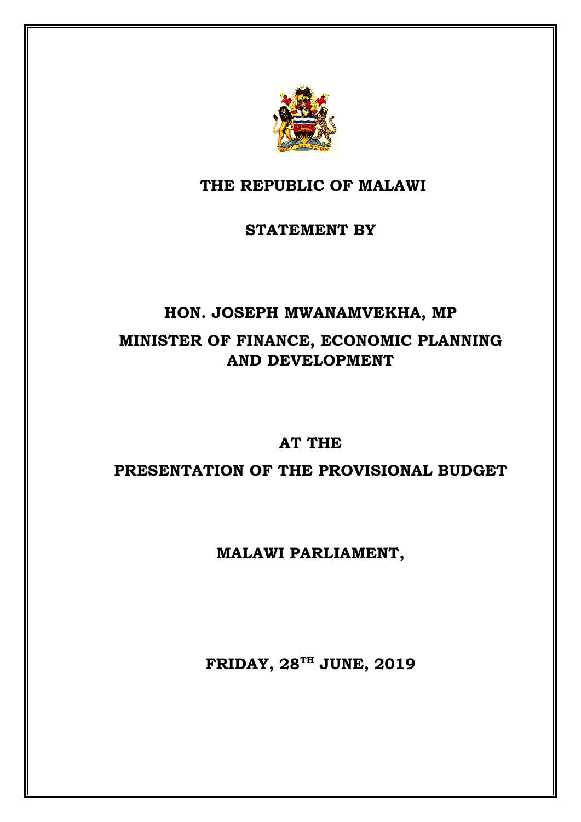

# **THE REPUBLIC OF MALAWI**

### **STATEMENT BY**

# **HON. JOSEPH MWANAMVEKHA, MP MINISTER OF FINANCE, ECONOMIC PLANNING AND DEVELOPMENT**

#### **AT THE**

## **PRESENTATION OF THE PROVISIONAL BUDGET**

## **MALAWI PARLIAMENT,**

**FRIDAY, 28TH JUNE, 2019**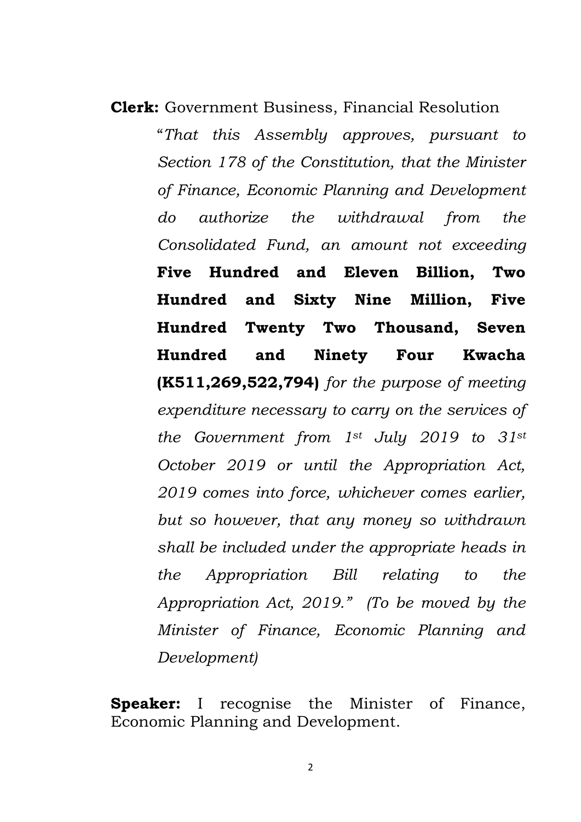**Clerk:** Government Business, Financial Resolution "*That this Assembly approves, pursuant to Section 178 of the Constitution, that the Minister of Finance, Economic Planning and Development do authorize the withdrawal from the Consolidated Fund, an amount not exceeding* **Five Hundred and Eleven Billion, Two Hundred and Sixty Nine Million, Five Hundred Twenty Two Thousand, Seven Hundred and Ninety Four Kwacha (K511,269,522,794)** *for the purpose of meeting expenditure necessary to carry on the services of the Government from 1st July 2019 to 31st October 2019 or until the Appropriation Act, 2019 comes into force, whichever comes earlier, but so however, that any money so withdrawn shall be included under the appropriate heads in the Appropriation Bill relating to the Appropriation Act, 2019." (To be moved by the Minister of Finance, Economic Planning and Development)*

**Speaker:** I recognise the Minister of Finance, Economic Planning and Development.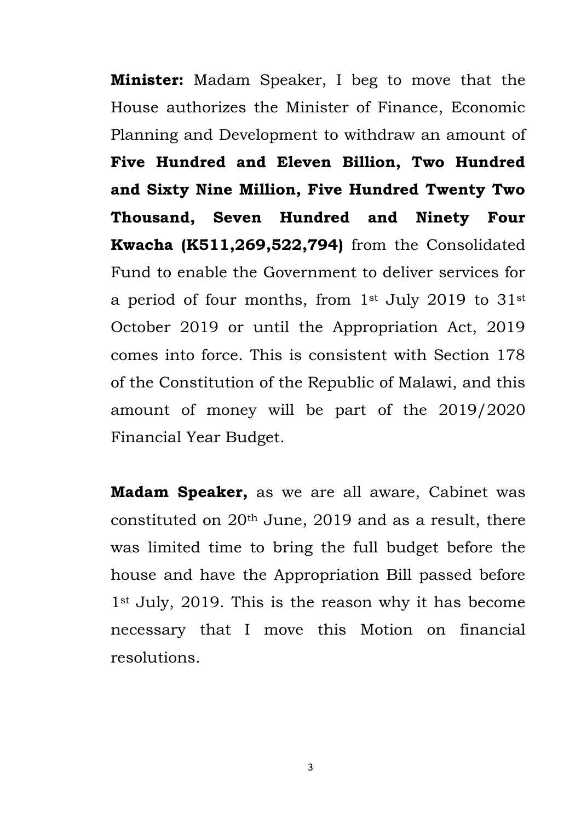**Minister:** Madam Speaker, I beg to move that the House authorizes the Minister of Finance, Economic Planning and Development to withdraw an amount of **Five Hundred and Eleven Billion, Two Hundred and Sixty Nine Million, Five Hundred Twenty Two Thousand, Seven Hundred and Ninety Four Kwacha (K511,269,522,794)** from the Consolidated Fund to enable the Government to deliver services for a period of four months, from 1st July 2019 to 31st October 2019 or until the Appropriation Act, 2019 comes into force. This is consistent with Section 178 of the Constitution of the Republic of Malawi, and this amount of money will be part of the 2019/2020 Financial Year Budget.

**Madam Speaker,** as we are all aware, Cabinet was constituted on 20th June, 2019 and as a result, there was limited time to bring the full budget before the house and have the Appropriation Bill passed before 1st July, 2019. This is the reason why it has become necessary that I move this Motion on financial resolutions.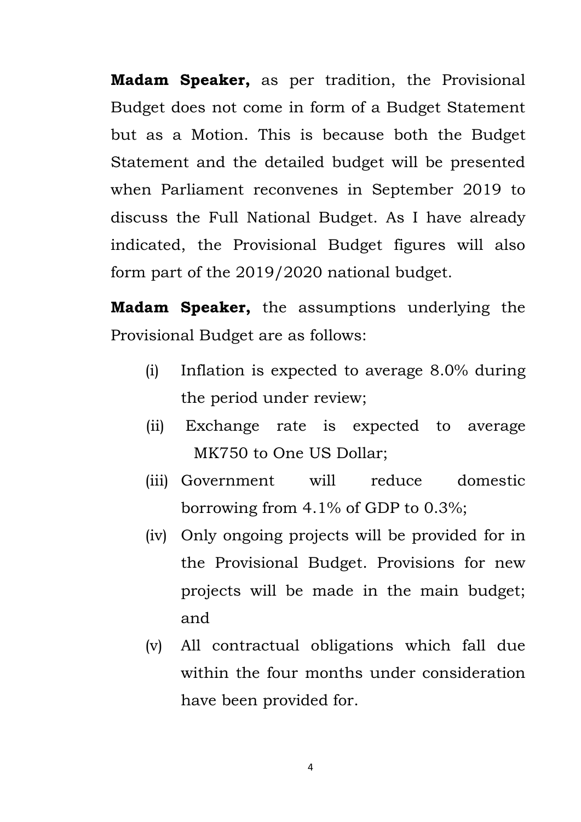**Madam Speaker,** as per tradition, the Provisional Budget does not come in form of a Budget Statement but as a Motion. This is because both the Budget Statement and the detailed budget will be presented when Parliament reconvenes in September 2019 to discuss the Full National Budget. As I have already indicated, the Provisional Budget figures will also form part of the 2019/2020 national budget.

**Madam Speaker,** the assumptions underlying the Provisional Budget are as follows:

- (i) Inflation is expected to average 8.0% during the period under review;
- (ii) Exchange rate is expected to average MK750 to One US Dollar;
- (iii) Government will reduce domestic borrowing from 4.1% of GDP to 0.3%;
- (iv) Only ongoing projects will be provided for in the Provisional Budget. Provisions for new projects will be made in the main budget; and
- (v) All contractual obligations which fall due within the four months under consideration have been provided for.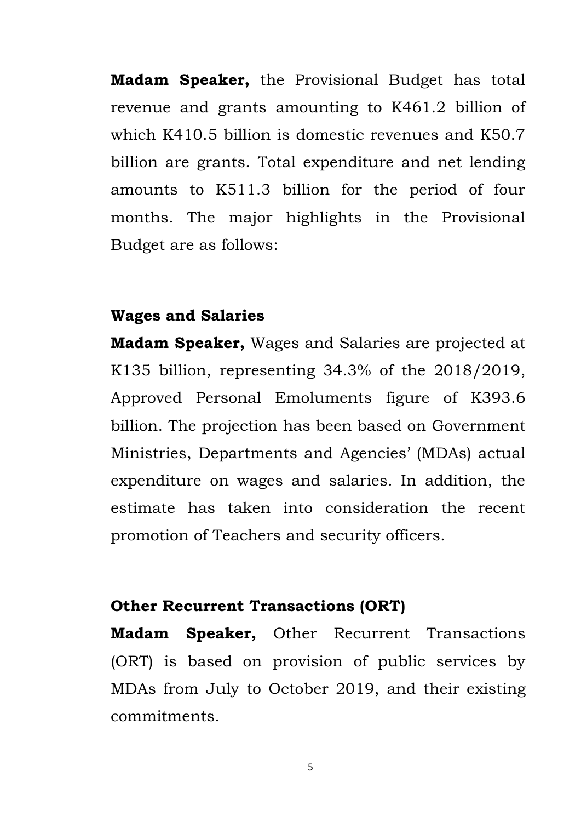**Madam Speaker,** the Provisional Budget has total revenue and grants amounting to K461.2 billion of which K410.5 billion is domestic revenues and K50.7 billion are grants. Total expenditure and net lending amounts to K511.3 billion for the period of four months. The major highlights in the Provisional Budget are as follows:

#### **Wages and Salaries**

**Madam Speaker,** Wages and Salaries are projected at K135 billion, representing 34.3% of the 2018/2019, Approved Personal Emoluments figure of K393.6 billion. The projection has been based on Government Ministries, Departments and Agencies' (MDAs) actual expenditure on wages and salaries. In addition, the estimate has taken into consideration the recent promotion of Teachers and security officers.

#### **Other Recurrent Transactions (ORT)**

**Madam Speaker,** Other Recurrent Transactions (ORT) is based on provision of public services by MDAs from July to October 2019, and their existing commitments.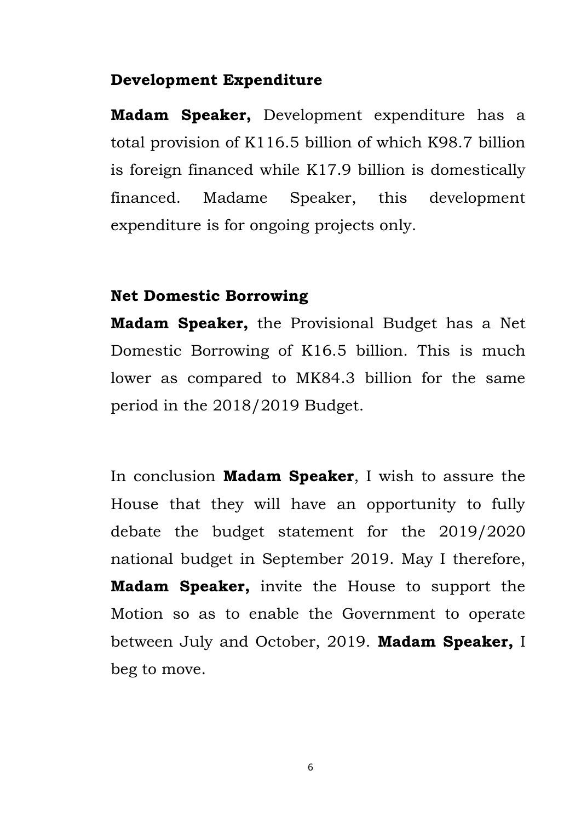#### **Development Expenditure**

**Madam Speaker,** Development expenditure has a total provision of K116.5 billion of which K98.7 billion is foreign financed while K17.9 billion is domestically financed. Madame Speaker, this development expenditure is for ongoing projects only.

#### **Net Domestic Borrowing**

**Madam Speaker,** the Provisional Budget has a Net Domestic Borrowing of K16.5 billion. This is much lower as compared to MK84.3 billion for the same period in the 2018/2019 Budget.

In conclusion **Madam Speaker**, I wish to assure the House that they will have an opportunity to fully debate the budget statement for the 2019/2020 national budget in September 2019. May I therefore, **Madam Speaker,** invite the House to support the Motion so as to enable the Government to operate between July and October, 2019. **Madam Speaker,** I beg to move.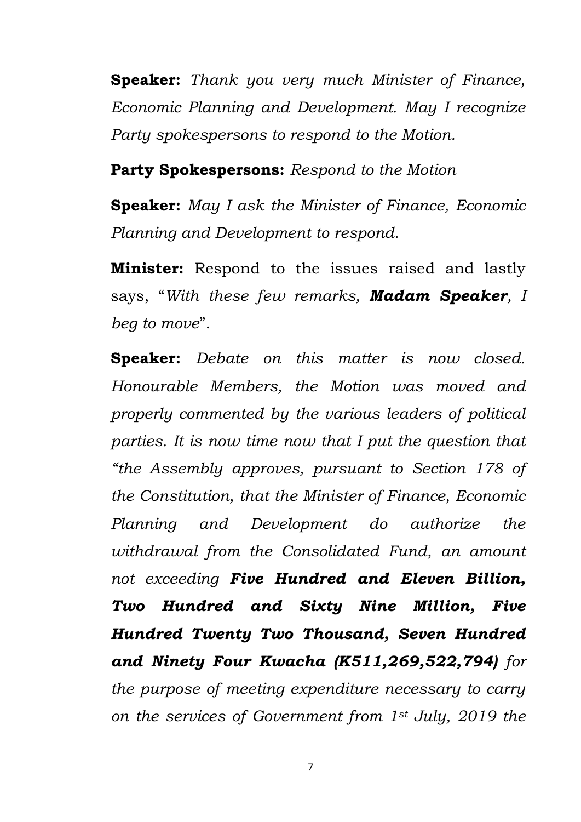**Speaker:** *Thank you very much Minister of Finance, Economic Planning and Development. May I recognize Party spokespersons to respond to the Motion.* 

**Party Spokespersons:** *Respond to the Motion*

**Speaker:** *May I ask the Minister of Finance, Economic Planning and Development to respond.* 

**Minister:** Respond to the issues raised and lastly says, "*With these few remarks, Madam Speaker, I beg to move*".

**Speaker:** *Debate on this matter is now closed. Honourable Members, the Motion was moved and properly commented by the various leaders of political parties. It is now time now that I put the question that "the Assembly approves, pursuant to Section 178 of the Constitution, that the Minister of Finance, Economic Planning and Development do authorize the withdrawal from the Consolidated Fund, an amount not exceeding Five Hundred and Eleven Billion, Two Hundred and Sixty Nine Million, Five Hundred Twenty Two Thousand, Seven Hundred and Ninety Four Kwacha (K511,269,522,794) for the purpose of meeting expenditure necessary to carry on the services of Government from 1st July, 2019 the*